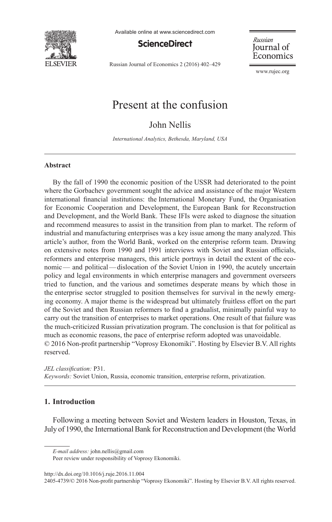

Available online at www.sciencedirect.com

**ScienceDirect** 

Russian Journal of Economics 2 (2016) 402–429

Russian Journal of Economics

www.rujec.org

# Present at the confusion

John Nellis

*International Analytics, Bethesda, Maryland, USA*

#### **Abstract**

By the fall of 1990 the economic position of the USSR had deteriorated to the point where the Gorbachev government sought the advice and assistance of the major Western international financial institutions: the International Monetary Fund, the Organisation for Economic Cooperation and Development, the European Bank for Reconstruction and Development, and the World Bank. These IFIs were asked to diagnose the situation and recommend measures to assist in the transition from plan to market. The reform of industrial and manufacturing enterprises was a key issue among the many analyzed. This article's author, from the World Bank, worked on the enterprise reform team. Drawing on extensive notes from 1990 and 1991 interviews with Soviet and Russian officials, reformers and enterprise managers, this article portrays in detail the extent of the economic— and political—dislocation of the Soviet Union in 1990, the acutely uncertain policy and legal environments in which enterprise managers and government overseers tried to function, and the various and sometimes desperate means by which those in the enterprise sector struggled to position themselves for survival in the newly emerging economy. A major theme is the widespread but ultimately fruitless effort on the part of the Soviet and then Russian reformers to find a gradualist, minimally painful way to carry out the transition of enterprises to market operations. One result of that failure was the much-criticized Russian privatization program. The conclusion is that for political as much as economic reasons, the pace of enterprise reform adopted was unavoidable. © 2016 Non-profit partnership "Voprosy Ekonomiki". Hosting by Elsevier B.V. All rights reserved.

*JEL classification:* P31. *Keywords:* Soviet Union, Russia, economic transition, enterprise reform, privatization.

## **1. Introduction**

Following a meeting between Soviet and Western leaders in Houston, Texas, in July of 1990, the International Bank for Reconstruction and Development (the World

Peer review under responsibility of Voprosy Ekonomiki.

http://dx.doi.org/10.1016/j.ruje.2016.11.004

2405-4739/© 2016 Non-profit partnership "Voprosy Ekonomiki". Hosting by Elsevier B.V. All rights reserved.

*E-mail address:* john.nellis@gmail.com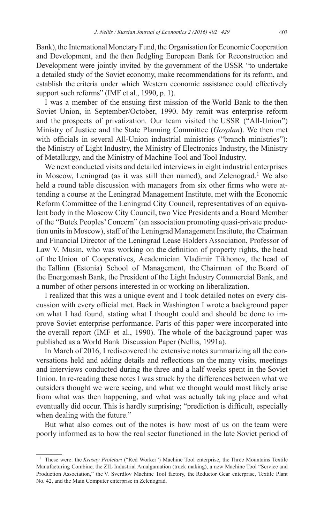Bank), the International Monetary Fund, the Organisation for Economic Cooperation and Development, and the then fledgling European Bank for Reconstruction and Development were jointly invited by the government of the USSR "to undertake a detailed study of the Soviet economy, make recommendations for its reform, and establish the criteria under which Western economic assistance could effectively support such reforms" (IMF et al., 1990, p. 1).

I was a member of the ensuing first mission of the World Bank to the then Soviet Union, in September/October, 1990. My remit was enterprise reform and the prospects of privatization. Our team visited the USSR ("All-Union") Ministry of Justice and the State Planning Committee (*Gosplan*). We then met with officials in several All-Union industrial ministries ("branch ministries"): the Ministry of Light Industry, the Ministry of Electronics Industry, the Ministry of Metallurgy, and the Ministry of Machine Tool and Tool Industry.

We next conducted visits and detailed interviews in eight industrial enterprises in Moscow, Leningrad (as it was still then named), and Zelenograd.<sup>1</sup> We also held a round table discussion with managers from six other firms who were attending a course at the Leningrad Management Institute, met with the Economic Reform Committee of the Leningrad City Council, representatives of an equivalent body in the Moscow City Council, two Vice Presidents and a Board Member of the "Butek Peoples' Concern" (an association promoting quasi-private production units in Moscow), staff of the Leningrad Management Institute, the Chairman and Financial Director of the Leningrad Lease Holders Association, Professor of Law V. Musin, who was working on the definition of property rights, the head of the Union of Cooperatives, Academician Vladimir Tikhonov, the head of the Tallinn (Estonia) School of Management, the Chairman of the Board of the Energomash Bank, the President of the Light Industry Commercial Bank, and a number of other persons interested in or working on liberalization.

I realized that this was a unique event and I took detailed notes on every discussion with every official met. Back in Washington I wrote a background paper on what I had found, stating what I thought could and should be done to improve Soviet enterprise performance. Parts of this paper were incorporated into the overall report (IMF et al., 1990). The whole of the background paper was published as a World Bank Discussion Paper (Nellis, 1991a).

In March of 2016, I rediscovered the extensive notes summarizing all the conversations held and adding details and reflections on the many visits, meetings and interviews conducted during the three and a half weeks spent in the Soviet Union. In re-reading these notes I was struck by the differences between what we outsiders thought we were seeing, and what we thought would most likely arise from what was then happening, and what was actually taking place and what eventually did occur. This is hardly surprising; "prediction is difficult, especially when dealing with the future."

But what also comes out of the notes is how most of us on the team were poorly informed as to how the real sector functioned in the late Soviet period of

<sup>&</sup>lt;sup>1</sup> These were: the *Krasny Proletari* ("Red Worker") Machine Tool enterprise, the Three Mountains Textile Manufacturing Combine, the ZIL Industrial Amalgamation (truck making), a new Machine Tool "Service and Production Association," the V. Sverdlov Machine Tool factory, the Reductor Gear enterprise, Textile Plant No. 42, and the Main Computer enterprise in Zelenograd.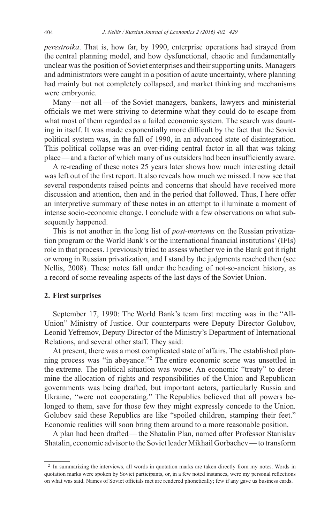*perestroika*. That is, how far, by 1990, enterprise operations had strayed from the central planning model, and how dysfunctional, chaotic and fundamentally unclear was the position of Soviet enterprises and their supporting units. Managers and administrators were caught in a position of acute uncertainty, where planning had mainly but not completely collapsed, and market thinking and mechanisms were embryonic.

Many—not all—of the Soviet managers, bankers, lawyers and ministerial officials we met were striving to determine what they could do to escape from what most of them regarded as a failed economic system. The search was daunting in itself. It was made exponentially more difficult by the fact that the Soviet political system was, in the fall of 1990, in an advanced state of disintegration. This political collapse was an over-riding central factor in all that was taking place—and a factor of which many of us outsiders had been insufficiently aware.

A re-reading of these notes 25 years later shows how much interesting detail was left out of the first report. It also reveals how much we missed. I now see that several respondents raised points and concerns that should have received more discussion and attention, then and in the period that followed. Thus, I here offer an interpretive summary of these notes in an attempt to illuminate a moment of intense socio-economic change. I conclude with a few observations on what subsequently happened.

This is not another in the long list of *post-mortems* on the Russian privatization program or the World Bank's or the international financial institutions' (IFIs) role in that process. I previously tried to assess whether we in the Bank got it right or wrong in Russian privatization, and I stand by the judgments reached then (see Nellis, 2008). These notes fall under the heading of not-so-ancient history, as a record of some revealing aspects of the last days of the Soviet Union.

#### **2. First surprises**

September 17, 1990: The World Bank's team first meeting was in the "All-Union" Ministry of Justice. Our counterparts were Deputy Director Golubov, Leonid Yefremov, Deputy Director of the Ministry's Department of International Relations, and several other staff. They said:

At present, there was a most complicated state of affairs. The established planning process was "in abeyance."<sup>2</sup> The entire economic scene was unsettled in the extreme. The political situation was worse. An economic "treaty" to determine the allocation of rights and responsibilities of the Union and Republican governments was being drafted, but important actors, particularly Russia and Ukraine, "were not cooperating." The Republics believed that all powers belonged to them, save for those few they might expressly concede to the Union. Golubov said these Republics are like "spoiled children, stamping their feet." Economic realities will soon bring them around to a more reasonable position.

A plan had been drafted—the Shatalin Plan, named after Professor Stanislav Shatalin, economic advisor to the Soviet leader Mikhail Gorbachev—to transform

<sup>&</sup>lt;sup>2</sup> In summarizing the interviews, all words in quotation marks are taken directly from my notes. Words in quotation marks were spoken by Soviet participants, or, in a few noted instances, were my personal reflections on what was said. Names of Soviet officials met are rendered phonetically; few if any gave us business cards.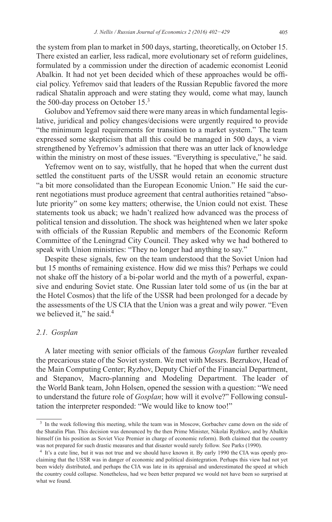the system from plan to market in 500 days, starting, theoretically, on October 15. There existed an earlier, less radical, more evolutionary set of reform guidelines, formulated by a commission under the direction of academic economist Leonid Abalkin. It had not yet been decided which of these approaches would be official policy. Yefremov said that leaders of the Russian Republic favored the more radical Shatalin approach and were stating they would, come what may, launch the 500-day process on October  $15<sup>3</sup>$ 

Golubov and Yefremov said there were many areas in which fundamental legislative, juridical and policy changes/decisions were urgently required to provide "the minimum legal requirements for transition to a market system." The team expressed some skepticism that all this could be managed in 500 days, a view strengthened by Yefremov's admission that there was an utter lack of knowledge within the ministry on most of these issues. "Everything is speculative," he said.

Yefremov went on to say, wistfully, that he hoped that when the current dust settled the constituent parts of the USSR would retain an economic structure "a bit more consolidated than the European Economic Union." He said the current negotiations must produce agreement that central authorities retained "absolute priority" on some key matters; otherwise, the Union could not exist. These statements took us aback; we hadn't realized how advanced was the process of political tension and dissolution. The shock was heightened when we later spoke with officials of the Russian Republic and members of the Economic Reform Committee of the Leningrad City Council. They asked why we had bothered to speak with Union ministries: "They no longer had anything to say."

Despite these signals, few on the team understood that the Soviet Union had but 15 months of remaining existence. How did we miss this? Perhaps we could not shake off the history of a bi-polar world and the myth of a powerful, expansive and enduring Soviet state. One Russian later told some of us (in the bar at the Hotel Cosmos) that the life of the USSR had been prolonged for a decade by the assessments of the US CIA that the Union was a great and wily power. "Even we believed it," he said.<sup>4</sup>

## *2.1. Gosplan*

A later meeting with senior officials of the famous *Gosplan* further revealed the precarious state of the Soviet system. We met with Messrs. Bezrukov, Head of the Main Computing Center; Ryzhov, Deputy Chief of the Financial Department, and Stepanov, Macro-planning and Modeling Department. The leader of the World Bank team, John Holsen, opened the session with a question: "We need to understand the future role of *Gosplan*; how will it evolve?" Following consultation the interpreter responded: "We would like to know too!"

<sup>&</sup>lt;sup>3</sup> In the week following this meeting, while the team was in Moscow, Gorbachev came down on the side of the Shatalin Plan. This decision was denounced by the then Prime Minister, Nikolai Ryzhkov, and by Abalkin himself (in his position as Soviet Vice Premier in charge of economic reform). Both claimed that the country was not prepared for such drastic measures and that disaster would surely follow. See Parks (1990).

<sup>4</sup> It's a cute line, but it was not true and we should have known it. By early 1990 the CIA was openly proclaiming that the USSR was in danger of economic and political disintegration. Perhaps this view had not yet been widely distributed, and perhaps the CIA was late in its appraisal and underestimated the speed at which the country could collapse. Nonetheless, had we been better prepared we would not have been so surprised at what we found.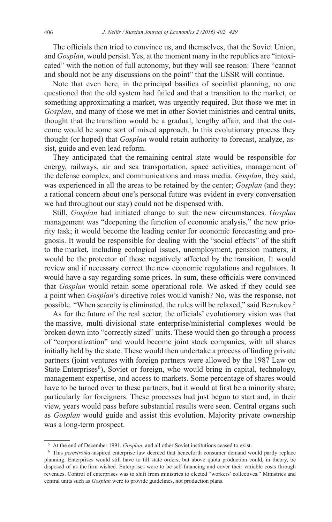The officials then tried to convince us, and themselves, that the Soviet Union, and *Gosplan*, would persist. Yes, at the moment many in the republics are "intoxicated" with the notion of full autonomy, but they will see reason: There "cannot and should not be any discussions on the point" that the USSR will continue.

Note that even here, in the principal basilica of socialist planning, no one questioned that the old system had failed and that a transition to the market, or something approximating a market, was urgently required. But those we met in *Gosplan*, and many of those we met in other Soviet ministries and central units, thought that the transition would be a gradual, lengthy affair, and that the outcome would be some sort of mixed approach. In this evolutionary process they thought (or hoped) that *Gosplan* would retain authority to forecast, analyze, assist, guide and even lead reform.

They anticipated that the remaining central state would be responsible for energy, railways, air and sea transportation, space activities, management of the defense complex, and communications and mass media. *Gosplan*, they said, was experienced in all the areas to be retained by the center; *Gosplan* (and they: a rational concern about one's personal future was evident in every conversation we had throughout our stay) could not be dispensed with.

Still, *Gosplan* had initiated change to suit the new circumstances. *Gosplan* management was "deepening the function of economic analysis," the new priority task; it would become the leading center for economic forecasting and prognosis. It would be responsible for dealing with the "social effects" of the shift to the market, including ecological issues, unemployment, pension matters; it would be the protector of those negatively affected by the transition. It would review and if necessary correct the new economic regulations and regulators. It would have a say regarding some prices. In sum, these officials were convinced that *Gosplan* would retain some operational role. We asked if they could see a point when *Gosplan*'s directive roles would vanish? No, was the response, not possible. "When scarcity is eliminated, the rules will be relaxed," said Bezrukov.<sup>5</sup>

As for the future of the real sector, the officials' evolutionary vision was that the massive, multi-divisional state enterprise/ministerial complexes would be broken down into "correctly sized" units. These would then go through a process of "corporatization" and would become joint stock companies, with all shares initially held by the state. These would then undertake a process of finding private partners (joint ventures with foreign partners were allowed by the 1987 Law on State Enterprises<sup>6</sup>), Soviet or foreign, who would bring in capital, technology, management expertise, and access to markets. Some percentage of shares would have to be turned over to these partners, but it would at first be a minority share, particularly for foreigners. These processes had just begun to start and, in their view, years would pass before substantial results were seen. Central organs such as *Gosplan* would guide and assist this evolution. Majority private ownership was a long-term prospect.

<sup>5</sup> At the end of December 1991, *Gosplan*, and all other Soviet institutions ceased to exist.

<sup>6</sup> This *perestroika*-inspired enterprise law decreed that henceforth consumer demand would partly replace planning. Enterprises would still have to fill state orders, but above quota production could, in theory, be disposed of as the firm wished. Enterprises were to be self-financing and cover their variable costs through revenues. Control of enterprises was to shift from ministries to elected "workers' collectives." Ministries and central units such as *Gosplan* were to provide guidelines, not production plans.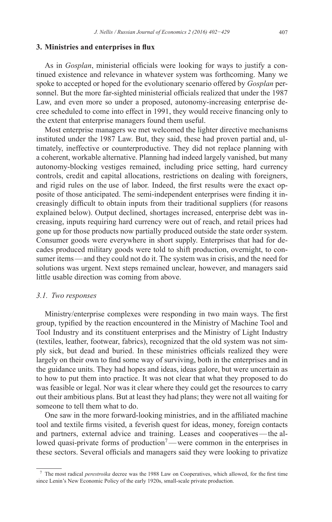### **3. Ministries and enterprises in flux**

As in *Gosplan*, ministerial officials were looking for ways to justify a continued existence and relevance in whatever system was forthcoming. Many we spoke to accepted or hoped for the evolutionary scenario offered by *Gosplan* personnel. But the more far-sighted ministerial officials realized that under the 1987 Law, and even more so under a proposed, autonomy-increasing enterprise decree scheduled to come into effect in 1991, they would receive financing only to the extent that enterprise managers found them useful.

Most enterprise managers we met welcomed the lighter directive mechanisms instituted under the 1987 Law. But, they said, these had proven partial and, ultimately, ineffective or counterproductive. They did not replace planning with a coherent, workable alternative. Planning had indeed largely vanished, but many autonomy-blocking vestiges remained, including price setting, hard currency controls, credit and capital allocations, restrictions on dealing with foreigners, and rigid rules on the use of labor. Indeed, the first results were the exact opposite of those anticipated. The semi-independent enterprises were finding it increasingly difficult to obtain inputs from their traditional suppliers (for reasons explained below). Output declined, shortages increased, enterprise debt was increasing, inputs requiring hard currency were out of reach, and retail prices had gone up for those products now partially produced outside the state order system. Consumer goods were everywhere in short supply. Enterprises that had for decades produced military goods were told to shift production, overnight, to consumer items—and they could not do it. The system was in crisis, and the need for solutions was urgent. Next steps remained unclear, however, and managers said little usable direction was coming from above.

## *3.1. Two responses*

Ministry/enterprise complexes were responding in two main ways. The first group, typified by the reaction encountered in the Ministry of Machine Tool and Tool Industry and its constituent enterprises and the Ministry of Light Industry (textiles, leather, footwear, fabrics), recognized that the old system was not simply sick, but dead and buried. In these ministries officials realized they were largely on their own to find some way of surviving, both in the enterprises and in the guidance units. They had hopes and ideas, ideas galore, but were uncertain as to how to put them into practice. It was not clear that what they proposed to do was feasible or legal. Nor was it clear where they could get the resources to carry out their ambitious plans. But at least they had plans; they were not all waiting for someone to tell them what to do.

One saw in the more forward-looking ministries, and in the affiliated machine tool and textile firms visited, a feverish quest for ideas, money, foreign contacts and partners, external advice and training. Leases and cooperatives—the allowed quasi-private forms of production<sup>7</sup>—were common in the enterprises in these sectors. Several officials and managers said they were looking to privatize

<sup>7</sup> The most radical *perestroika* decree was the 1988 Law on Cooperatives, which allowed, for the first time since Lenin's New Economic Policy of the early 1920s, small-scale private production.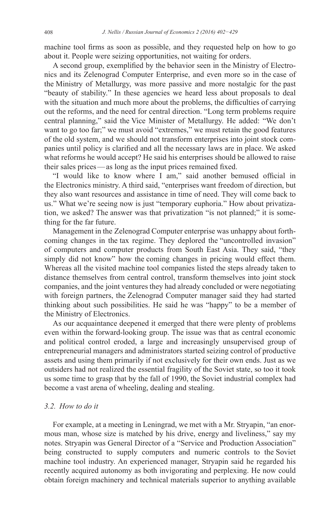machine tool firms as soon as possible, and they requested help on how to go about it. People were seizing opportunities, not waiting for orders.

A second group, exemplified by the behavior seen in the Ministry of Electronics and its Zelenograd Computer Enterprise, and even more so in the case of the Ministry of Metallurgy, was more passive and more nostalgic for the past "beauty of stability." In these agencies we heard less about proposals to deal with the situation and much more about the problems, the difficulties of carrying out the reforms, and the need for central direction. "Long term problems require central planning," said the Vice Minister of Metallurgy. He added: "We don't want to go too far;" we must avoid "extremes," we must retain the good features of the old system, and we should not transform enterprises into joint stock companies until policy is clarified and all the necessary laws are in place. We asked what reforms he would accept? He said his enterprises should be allowed to raise their sales prices—as long as the input prices remained fixed.

"I would like to know where I am," said another bemused official in the Electronics ministry. A third said, "enterprises want freedom of direction, but they also want resources and assistance in time of need. They will come back to us." What we're seeing now is just "temporary euphoria." How about privatization, we asked? The answer was that privatization "is not planned;" it is something for the far future.

Management in the Zelenograd Computer enterprise was unhappy about forthcoming changes in the tax regime. They deplored the "uncontrolled invasion" of computers and computer products from South East Asia. They said, "they simply did not know" how the coming changes in pricing would effect them. Whereas all the visited machine tool companies listed the steps already taken to distance themselves from central control, transform themselves into joint stock companies, and the joint ventures they had already concluded or were negotiating with foreign partners, the Zelenograd Computer manager said they had started thinking about such possibilities. He said he was "happy" to be a member of the Ministry of Electronics.

As our acquaintance deepened it emerged that there were plenty of problems even within the forward-looking group. The issue was that as central economic and political control eroded, a large and increasingly unsupervised group of entrepreneurial managers and administrators started seizing control of productive assets and using them primarily if not exclusively for their own ends. Just as we outsiders had not realized the essential fragility of the Soviet state, so too it took us some time to grasp that by the fall of 1990, the Soviet industrial complex had become a vast arena of wheeling, dealing and stealing.

## *3.2. How to do it*

For example, at a meeting in Leningrad, we met with a Mr. Stryapin, "an enormous man, whose size is matched by his drive, energy and liveliness," say my notes. Stryapin was General Director of a "Service and Production Association" being constructed to supply computers and numeric controls to the Soviet machine tool industry. An experienced manager, Stryapin said he regarded his recently acquired autonomy as both invigorating and perplexing. He now could obtain foreign machinery and technical materials superior to anything available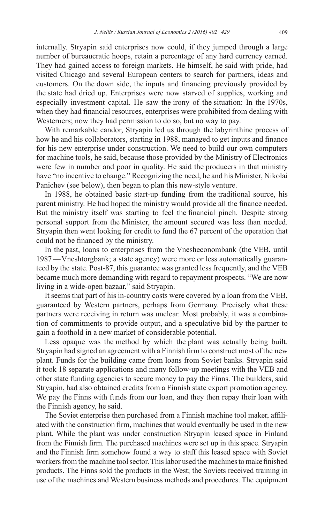internally. Stryapin said enterprises now could, if they jumped through a large number of bureaucratic hoops, retain a percentage of any hard currency earned. They had gained access to foreign markets. He himself, he said with pride, had visited Chicago and several European centers to search for partners, ideas and customers. On the down side, the inputs and financing previously provided by the state had dried up. Enterprises were now starved of supplies, working and especially investment capital. He saw the irony of the situation: In the 1970s, when they had financial resources, enterprises were prohibited from dealing with Westerners; now they had permission to do so, but no way to pay.

With remarkable candor, Stryapin led us through the labyrinthine process of how he and his collaborators, starting in 1988, managed to get inputs and finance for his new enterprise under construction. We need to build our own computers for machine tools, he said, because those provided by the Ministry of Electronics were few in number and poor in quality. He said the producers in that ministry have "no incentive to change." Recognizing the need, he and his Minister, Nikolai Panichev (see below), then began to plan this new-style venture.

In 1988, he obtained basic start-up funding from the traditional source, his parent ministry. He had hoped the ministry would provide all the finance needed. But the ministry itself was starting to feel the financial pinch. Despite strong personal support from the Minister, the amount secured was less than needed. Stryapin then went looking for credit to fund the 67 percent of the operation that could not be financed by the ministry.

In the past, loans to enterprises from the Vnesheconombank (the VEB, until 1987—Vneshtorgbank; a state agency) were more or less automatically guaranteed by the state. Post-87, this guarantee was granted less frequently, and the VEB became much more demanding with regard to repayment prospects. "We are now living in a wide-open bazaar," said Stryapin.

It seems that part of his in-country costs were covered by a loan from the VEB, guaranteed by Western partners, perhaps from Germany. Precisely what these partners were receiving in return was unclear. Most probably, it was a combination of commitments to provide output, and a speculative bid by the partner to gain a foothold in a new market of considerable potential.

Less opaque was the method by which the plant was actually being built. Stryapin had signed an agreement with a Finnish firm to construct most of the new plant. Funds for the building came from loans from Soviet banks. Stryapin said it took 18 separate applications and many follow-up meetings with the VEB and other state funding agencies to secure money to pay the Finns. The builders, said Stryapin, had also obtained credits from a Finnish state export promotion agency. We pay the Finns with funds from our loan, and they then repay their loan with the Finnish agency, he said.

The Soviet enterprise then purchased from a Finnish machine tool maker, affiliated with the construction firm, machines that would eventually be used in the new plant. While the plant was under construction Stryapin leased space in Finland from the Finnish firm. The purchased machines were set up in this space. Stryapin and the Finnish firm somehow found a way to staff this leased space with Soviet workers from the machine tool sector. This labor used the machines to make finished products. The Finns sold the products in the West; the Soviets received training in use of the machines and Western business methods and procedures. The equipment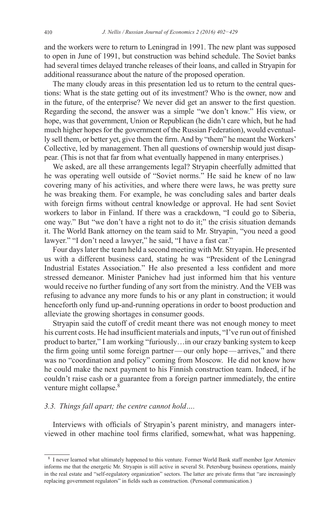and the workers were to return to Leningrad in 1991. The new plant was supposed to open in June of 1991, but construction was behind schedule. The Soviet banks had several times delayed tranche releases of their loans, and called in Stryapin for additional reassurance about the nature of the proposed operation.

The many cloudy areas in this presentation led us to return to the central questions: What is the state getting out of its investment? Who is the owner, now and in the future, of the enterprise? We never did get an answer to the first question. Regarding the second, the answer was a simple "we don't know." His view, or hope, was that government, Union or Republican (he didn't care which, but he had much higher hopes for the government of the Russian Federation), would eventually sell them, or better yet, give them the firm. And by "them" he meant the Workers' Collective, led by management. Then all questions of ownership would just disappear. (This is not that far from what eventually happened in many enterprises.)

We asked, are all these arrangements legal? Stryapin cheerfully admitted that he was operating well outside of "Soviet norms." He said he knew of no law covering many of his activities, and where there were laws, he was pretty sure he was breaking them. For example, he was concluding sales and barter deals with foreign firms without central knowledge or approval. He had sent Soviet workers to labor in Finland. If there was a crackdown, "I could go to Siberia, one way." But "we don't have a right not to do it;" the crisis situation demands it. The World Bank attorney on the team said to Mr. Stryapin, "you need a good lawyer." "I don't need a lawyer," he said, "I have a fast car."

Four days later the team held a second meeting with Mr. Stryapin. He presented us with a different business card, stating he was "President of the Leningrad Industrial Estates Association." He also presented a less confident and more stressed demeanor. Minister Panichev had just informed him that his venture would receive no further funding of any sort from the ministry. And the VEB was refusing to advance any more funds to his or any plant in construction; it would henceforth only fund up-and-running operations in order to boost production and alleviate the growing shortages in consumer goods.

Stryapin said the cutoff of credit meant there was not enough money to meet his current costs. He had insufficient materials and inputs, "I've run out of finished product to barter," I am working "furiously…in our crazy banking system to keep the firm going until some foreign partner—our only hope—arrives," and there was no "coordination and policy" coming from Moscow. He did not know how he could make the next payment to his Finnish construction team. Indeed, if he couldn't raise cash or a guarantee from a foreign partner immediately, the entire venture might collapse.<sup>8</sup>

### *3.3. Things fall apart; the centre cannot hold….*

Interviews with officials of Stryapin's parent ministry, and managers interviewed in other machine tool firms clarified, somewhat, what was happening.

<sup>8</sup> I never learned what ultimately happened to this venture. Former World Bank staff member Igor Artemiev informs me that the energetic Mr. Stryapin is still active in several St. Petersburg business operations, mainly in the real estate and "self-regulatory organization" sectors. The latter are private firms that "are increasingly replacing government regulators" in fields such as construction. (Personal communication.)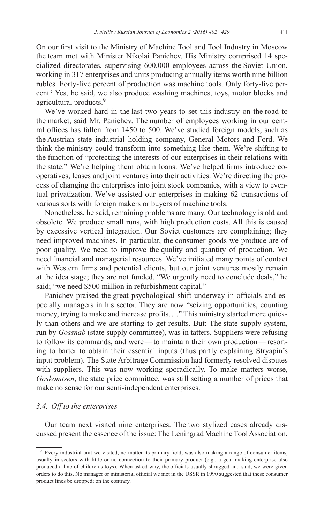On our first visit to the Ministry of Machine Tool and Tool Industry in Moscow the team met with Minister Nikolai Panichev. His Ministry comprised 14 specialized directorates, supervising 600,000 employees across the Soviet Union, working in 317 enterprises and units producing annually items worth nine billion rubles. Forty-five percent of production was machine tools. Only forty-five percent? Yes, he said, we also produce washing machines, toys, motor blocks and agricultural products.<sup>9</sup>

We've worked hard in the last two years to set this industry on the road to the market, said Mr. Panichev. The number of employees working in our central offices has fallen from 1450 to 500. We've studied foreign models, such as the Austrian state industrial holding company, General Motors and Ford. We think the ministry could transform into something like them. We're shifting to the function of "protecting the interests of our enterprises in their relations with the state." We're helping them obtain loans. We've helped firms introduce cooperatives, leases and joint ventures into their activities. We're directing the process of changing the enterprises into joint stock companies, with a view to eventual privatization. We've assisted our enterprises in making 62 transactions of various sorts with foreign makers or buyers of machine tools.

Nonetheless, he said, remaining problems are many. Our technology is old and obsolete. We produce small runs, with high production costs. All this is caused by excessive vertical integration. Our Soviet customers are complaining; they need improved machines. In particular, the consumer goods we produce are of poor quality. We need to improve the quality and quantity of production. We need financial and managerial resources. We've initiated many points of contact with Western firms and potential clients, but our joint ventures mostly remain at the idea stage; they are not funded. "We urgently need to conclude deals," he said; "we need \$500 million in refurbishment capital."

Panichev praised the great psychological shift underway in officials and especially managers in his sector. They are now "seizing opportunities, counting money, trying to make and increase profits…." This ministry started more quickly than others and we are starting to get results. But: The state supply system, run by *Gossnab* (state supply committee), was in tatters. Suppliers were refusing to follow its commands, and were—to maintain their own production—resorting to barter to obtain their essential inputs (thus partly explaining Stryapin's input problem). The State Arbitrage Commission had formerly resolved disputes with suppliers. This was now working sporadically. To make matters worse, *Goskomtsen*, the state price committee, was still setting a number of prices that make no sense for our semi-independent enterprises.

### *3.4. Off to the enterprises*

Our team next visited nine enterprises. The two stylized cases already discussed present the essence of the issue: The Leningrad Machine Tool Association,

<sup>9</sup> Every industrial unit we visited, no matter its primary field, was also making a range of consumer items, usually in sectors with little or no connection to their primary product (e.g., a gear-making enterprise also produced a line of children's toys). When asked why, the officials usually shrugged and said, we were given orders to do this. No manager or ministerial official we met in the USSR in 1990 suggested that these consumer product lines be dropped; on the contrary.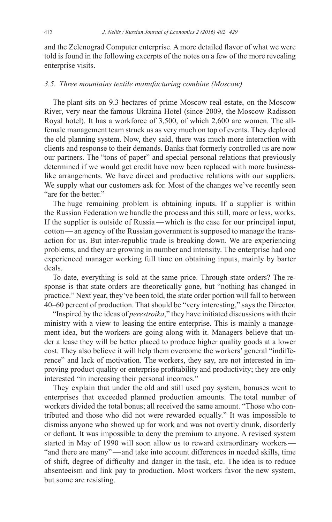and the Zelenograd Computer enterprise. A more detailed flavor of what we were told is found in the following excerpts of the notes on a few of the more revealing enterprise visits.

## *3.5. Three mountains textile manufacturing combine (Moscow)*

The plant sits on 9.3 hectares of prime Moscow real estate, on the Moscow River, very near the famous Ukraina Hotel (since 2009, the Moscow Radisson Royal hotel). It has a workforce of 3,500, of which 2,600 are women. The allfemale management team struck us as very much on top of events. They deplored the old planning system. Now, they said, there was much more interaction with clients and response to their demands. Banks that formerly controlled us are now our partners. The "tons of paper" and special personal relations that previously determined if we would get credit have now been replaced with more businesslike arrangements. We have direct and productive relations with our suppliers. We supply what our customers ask for. Most of the changes we've recently seen "are for the better."

The huge remaining problem is obtaining inputs. If a supplier is within the Russian Federation we handle the process and this still, more or less, works. If the supplier is outside of Russia—which is the case for our principal input, cotton—an agency of the Russian government is supposed to manage the transaction for us. But inter-republic trade is breaking down. We are experiencing problems, and they are growing in number and intensity. The enterprise had one experienced manager working full time on obtaining inputs, mainly by barter deals.

To date, everything is sold at the same price. Through state orders? The response is that state orders are theoretically gone, but "nothing has changed in practice." Next year, they've been told, the state order portion will fall to between 40–60 percent of production. That should be "very interesting," says the Director.

"Inspired by the ideas of *perestroika*," they have initiated discussions with their ministry with a view to leasing the entire enterprise. This is mainly a management idea, but the workers are going along with it. Managers believe that under a lease they will be better placed to produce higher quality goods at a lower cost. They also believe it will help them overcome the workers' general "indifference" and lack of motivation. The workers, they say, are not interested in improving product quality or enterprise profitability and productivity; they are only interested "in increasing their personal incomes."

They explain that under the old and still used pay system, bonuses went to enterprises that exceeded planned production amounts. The total number of workers divided the total bonus; all received the same amount. "Those who contributed and those who did not were rewarded equally." It was impossible to dismiss anyone who showed up for work and was not overtly drunk, disorderly or defiant. It was impossible to deny the premium to anyone. A revised system started in May of 1990 will soon allow us to reward extraordinary workers— "and there are many"—and take into account differences in needed skills, time of shift, degree of difficulty and danger in the task, etc. The idea is to reduce absenteeism and link pay to production. Most workers favor the new system, but some are resisting.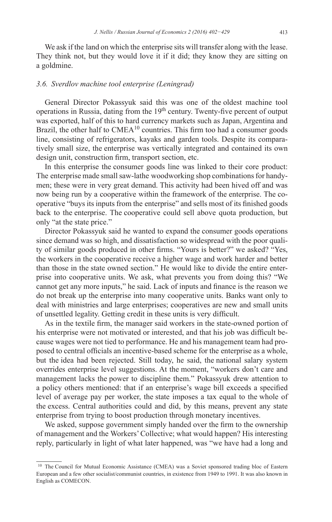We ask if the land on which the enterprise sits will transfer along with the lease. They think not, but they would love it if it did; they know they are sitting on a goldmine.

## *3.6. Sverdlov machine tool enterprise (Leningrad)*

General Director Pokassyuk said this was one of the oldest machine tool operations in Russia, dating from the 19th century. Twenty-five percent of output was exported, half of this to hard currency markets such as Japan, Argentina and Brazil, the other half to  $CMEA^{10}$  countries. This firm too had a consumer goods line, consisting of refrigerators, kayaks and garden tools. Despite its comparatively small size, the enterprise was vertically integrated and contained its own design unit, construction firm, transport section, etc.

In this enterprise the consumer goods line was linked to their core product: The enterprise made small saw-lathe woodworking shop combinations for handymen; these were in very great demand. This activity had been hived off and was now being run by a cooperative within the framework of the enterprise. The cooperative "buys its inputs from the enterprise" and sells most of its finished goods back to the enterprise. The cooperative could sell above quota production, but only "at the state price."

Director Pokassyuk said he wanted to expand the consumer goods operations since demand was so high, and dissatisfaction so widespread with the poor quality of similar goods produced in other firms. "Yours is better?" we asked? "Yes, the workers in the cooperative receive a higher wage and work harder and better than those in the state owned section." He would like to divide the entire enterprise into cooperative units. We ask, what prevents you from doing this? "We cannot get any more inputs," he said. Lack of inputs and finance is the reason we do not break up the enterprise into many cooperative units. Banks want only to deal with ministries and large enterprises; cooperatives are new and small units of unsettled legality. Getting credit in these units is very difficult.

As in the textile firm, the manager said workers in the state-owned portion of his enterprise were not motivated or interested, and that his job was difficult because wages were not tied to performance. He and his management team had proposed to central officials an incentive-based scheme for the enterprise as a whole, but the idea had been rejected. Still today, he said, the national salary system overrides enterprise level suggestions. At the moment, "workers don't care and management lacks the power to discipline them." Pokassyuk drew attention to a policy others mentioned: that if an enterprise's wage bill exceeds a specified level of average pay per worker, the state imposes a tax equal to the whole of the excess. Central authorities could and did, by this means, prevent any state enterprise from trying to boost production through monetary incentives.

We asked, suppose government simply handed over the firm to the ownership of management and the Workers' Collective; what would happen? His interesting reply, particularly in light of what later happened, was "we have had a long and

<sup>&</sup>lt;sup>10</sup> The Council for Mutual Economic Assistance (CMEA) was a Soviet sponsored trading bloc of Eastern European and a few other socialist/communist countries, in existence from 1949 to 1991. It was also known in English as COMECON.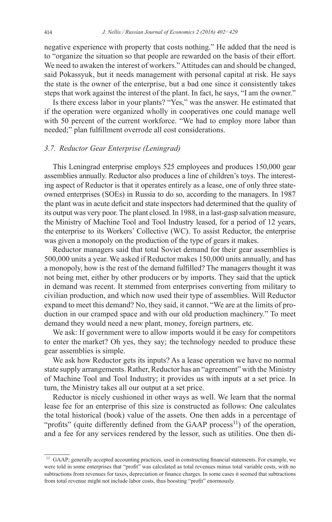negative experience with property that costs nothing." He added that the need is to "organize the situation so that people are rewarded on the basis of their effort. We need to awaken the interest of workers." Attitudes can and should be changed, said Pokassyuk, but it needs management with personal capital at risk. He says the state is the owner of the enterprise, but a bad one since it consistently takes steps that work against the interest of the plant. In fact, he says, "I am the owner."

Is there excess labor in your plants? "Yes," was the answer. He estimated that if the operation were organized wholly in cooperatives one could manage well with 50 percent of the current workforce. "We had to employ more labor than needed;" plan fulfillment overrode all cost considerations.

# *3.7. Reductor Gear Enterprise (Leningrad)*

This Leningrad enterprise employs 525 employees and produces 150,000 gear assemblies annually. Reductor also produces a line of children's toys. The interesting aspect of Reductor is that it operates entirely as a lease, one of only three stateowned enterprises (SOEs) in Russia to do so, according to the managers. In 1987 the plant was in acute deficit and state inspectors had determined that the quality of its output was very poor. The plant closed. In 1988, in a last-gasp salvation measure, the Ministry of Machine Tool and Tool Industry leased, for a period of 12 years, the enterprise to its Workers' Collective (WC). To assist Reductor, the enterprise was given a monopoly on the production of the type of gears it makes.

Reductor managers said that total Soviet demand for their gear assemblies is 500,000 units a year. We asked if Reductor makes 150,000 units annually, and has a monopoly, how is the rest of the demand fulfilled? The managers thought it was not being met, either by other producers or by imports. They said that the uptick in demand was recent. It stemmed from enterprises converting from military to civilian production, and which now used their type of assemblies. Will Reductor expand to meet this demand? No, they said, it cannot. "We are at the limits of production in our cramped space and with our old production machinery." To meet demand they would need a new plant, money, foreign partners, etc.

We ask: If government were to allow imports would it be easy for competitors to enter the market? Oh yes, they say; the technology needed to produce these gear assemblies is simple.

We ask how Reductor gets its inputs? As a lease operation we have no normal state supply arrangements. Rather, Reductor has an "agreement" with the Ministry of Machine Tool and Tool Industry; it provides us with inputs at a set price. In turn, the Ministry takes all our output at a set price.

Reductor is nicely cushioned in other ways as well. We learn that the normal lease fee for an enterprise of this size is constructed as follows: One calculates the total historical (book) value of the assets. One then adds in a percentage of "profits" (quite differently defined from the GAAP process<sup>11</sup>) of the operation, and a fee for any services rendered by the lessor, such as utilities. One then di-

<sup>&</sup>lt;sup>11</sup> GAAP; generally accepted accounting practices, used in constructing financial statements. For example, we were told in some enterprises that "profit" was calculated as total revenues minus total variable costs, with no subtractions from revenues for taxes, depreciation or finance charges. In some cases it seemed that subtractions from total revenue might not include labor costs, thus boosting "profit" enormously.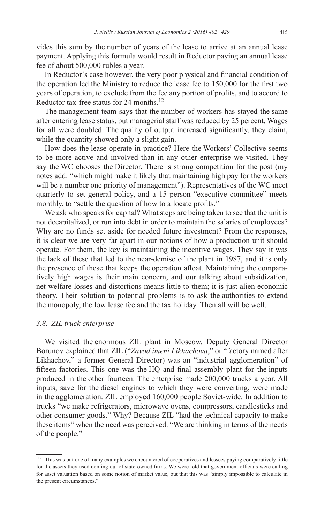vides this sum by the number of years of the lease to arrive at an annual lease payment. Applying this formula would result in Reductor paying an annual lease fee of about 500,000 rubles a year.

In Reductor's case however, the very poor physical and financial condition of the operation led the Ministry to reduce the lease fee to 150,000 for the first two years of operation, to exclude from the fee any portion of profits, and to accord to Reductor tax-free status for 24 months.<sup>12</sup>

The management team says that the number of workers has stayed the same after entering lease status, but managerial staff was reduced by 25 percent. Wages for all were doubled. The quality of output increased significantly, they claim, while the quantity showed only a slight gain.

How does the lease operate in practice? Here the Workers' Collective seems to be more active and involved than in any other enterprise we visited. They say the WC chooses the Director. There is strong competition for the post (my notes add: "which might make it likely that maintaining high pay for the workers will be a number one priority of management"). Representatives of the WC meet quarterly to set general policy, and a 15 person "executive committee" meets monthly, to "settle the question of how to allocate profits."

We ask who speaks for capital? What steps are being taken to see that the unit is not decapitalized, or run into debt in order to maintain the salaries of employees? Why are no funds set aside for needed future investment? From the responses, it is clear we are very far apart in our notions of how a production unit should operate. For them, the key is maintaining the incentive wages. They say it was the lack of these that led to the near-demise of the plant in 1987, and it is only the presence of these that keeps the operation afloat. Maintaining the comparatively high wages is their main concern, and our talking about subsidization, net welfare losses and distortions means little to them; it is just alien economic theory. Their solution to potential problems is to ask the authorities to extend the monopoly, the low lease fee and the tax holiday. Then all will be well.

### *3.8. ZIL truck enterprise*

We visited the enormous ZIL plant in Moscow. Deputy General Director Borunov explained that ZIL ("*Zavod imeni Likhachova*," or "factory named after Likhachov," a former General Director) was an "industrial agglomeration" of fifteen factories. This one was the HQ and final assembly plant for the inputs produced in the other fourteen. The enterprise made 200,000 trucks a year. All inputs, save for the diesel engines to which they were converting, were made in the agglomeration. ZIL employed 160,000 people Soviet-wide. In addition to trucks "we make refrigerators, microwave ovens, compressors, candlesticks and other consumer goods." Why? Because ZIL "had the technical capacity to make these items" when the need was perceived. "We are thinking in terms of the needs of the people."

<sup>&</sup>lt;sup>12</sup> This was but one of many examples we encountered of cooperatives and lessees paying comparatively little for the assets they used coming out of state-owned firms. We were told that government officials were calling for asset valuation based on some notion of market value, but that this was "simply impossible to calculate in the present circumstances."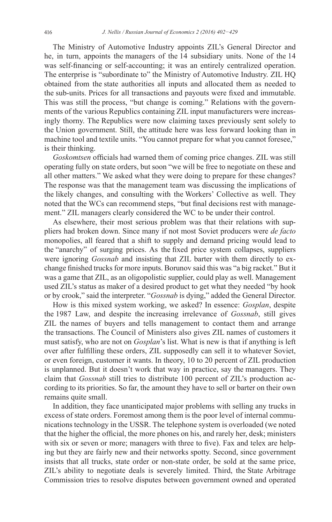The Ministry of Automotive Industry appoints ZIL's General Director and he, in turn, appoints the managers of the 14 subsidiary units. None of the 14 was self-financing or self-accounting; it was an entirely centralized operation. The enterprise is "subordinate to" the Ministry of Automotive Industry. ZIL HQ obtained from the state authorities all inputs and allocated them as needed to the sub-units. Prices for all transactions and payouts were fixed and immutable. This was still the process, "but change is coming." Relations with the governments of the various Republics containing ZIL input manufacturers were increasingly thorny. The Republics were now claiming taxes previously sent solely to the Union government. Still, the attitude here was less forward looking than in machine tool and textile units. "You cannot prepare for what you cannot foresee," is their thinking.

*Goskomtsen* officials had warned them of coming price changes. ZIL was still operating fully on state orders, but soon "we will be free to negotiate on these and all other matters." We asked what they were doing to prepare for these changes? The response was that the management team was discussing the implications of the likely changes, and consulting with the Workers' Collective as well. They noted that the WCs can recommend steps, "but final decisions rest with management." ZIL managers clearly considered the WC to be under their control.

As elsewhere, their most serious problem was that their relations with suppliers had broken down. Since many if not most Soviet producers were *de facto* monopolies, all feared that a shift to supply and demand pricing would lead to the "anarchy" of surging prices. As the fixed price system collapses, suppliers were ignoring *Gossnab* and insisting that ZIL barter with them directly to exchange finished trucks for more inputs. Borunov said this was "a big racket." But it was a game that ZIL, as an oligopolistic supplier, could play as well. Management used ZIL's status as maker of a desired product to get what they needed "by hook or by crook," said the interpreter. "*Gossnab* is dying," added the General Director.

How is this mixed system working, we asked? In essence: *Gosplan*, despite the 1987 Law, and despite the increasing irrelevance of *Gossnab*, still gives ZIL the names of buyers and tells management to contact them and arrange the transactions. The Council of Ministers also gives ZIL names of customers it must satisfy, who are not on *Gosplan*'s list. What is new is that if anything is left over after fulfilling these orders, ZIL supposedly can sell it to whatever Soviet, or even foreign, customer it wants. In theory, 10 to 20 percent of ZIL production is unplanned. But it doesn't work that way in practice, say the managers. They claim that *Gossnab* still tries to distribute 100 percent of ZIL's production according to its priorities. So far, the amount they have to sell or barter on their own remains quite small.

In addition, they face unanticipated major problems with selling any trucks in excess of state orders. Foremost among them is the poor level of internal communications technology in the USSR. The telephone system is overloaded (we noted that the higher the official, the more phones on his, and rarely her, desk; ministers with six or seven or more; managers with three to five). Fax and telex are helping but they are fairly new and their networks spotty. Second, since government insists that all trucks, state order or non-state order, be sold at the same price, ZIL's ability to negotiate deals is severely limited. Third, the State Arbitrage Commission tries to resolve disputes between government owned and operated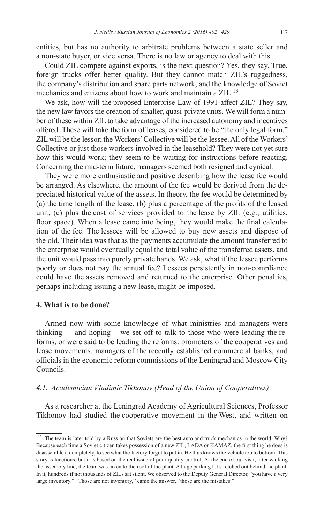entities, but has no authority to arbitrate problems between a state seller and a non-state buyer, or vice versa. There is no law or agency to deal with this.

Could ZIL compete against exports, is the next question? Yes, they say. True, foreign trucks offer better quality. But they cannot match ZIL's ruggedness, the company's distribution and spare parts network, and the knowledge of Soviet mechanics and citizens about how to work and maintain a ZIL.<sup>13</sup>

We ask, how will the proposed Enterprise Law of 1991 affect ZIL? They say, the new law favors the creation of smaller, quasi-private units. We will form a number of these within ZIL to take advantage of the increased autonomy and incentives offered. These will take the form of leases, considered to be "the only legal form." ZIL will be the lessor; the Workers' Collective will be the lessee. All of the Workers' Collective or just those workers involved in the leasehold? They were not yet sure how this would work; they seem to be waiting for instructions before reacting. Concerning the mid-term future, managers seemed both resigned and cynical.

They were more enthusiastic and positive describing how the lease fee would be arranged. As elsewhere, the amount of the fee would be derived from the depreciated historical value of the assets. In theory, the fee would be determined by (a) the time length of the lease, (b) plus a percentage of the profits of the leased unit, (c) plus the cost of services provided to the lease by ZIL (e.g., utilities, floor space). When a lease came into being, they would make the final calculation of the fee. The lessees will be allowed to buy new assets and dispose of the old. Their idea was that as the payments accumulate the amount transferred to the enterprise would eventually equal the total value of the transferred assets, and the unit would pass into purely private hands. We ask, what if the lessee performs poorly or does not pay the annual fee? Lessees persistently in non-compliance could have the assets removed and returned to the enterprise. Other penalties, perhaps including issuing a new lease, might be imposed.

## **4. What is to be done?**

Armed now with some knowledge of what ministries and managers were thinking— and hoping—we set off to talk to those who were leading the reforms, or were said to be leading the reforms: promoters of the cooperatives and lease movements, managers of the recently established commercial banks, and officials in the economic reform commissions of the Leningrad and Moscow City Councils.

## *4.1. Academician Vladimir Tikhonov (Head of the Union of Cooperatives)*

As a researcher at the Leningrad Academy of Agricultural Sciences, Professor Tikhonov had studied the cooperative movement in the West, and written on

<sup>&</sup>lt;sup>13</sup> The team is later told by a Russian that Soviets are the best auto and truck mechanics in the world. Why? Because each time a Soviet citizen takes possession of a new ZIL, LADA or KAMAZ, the first thing he does is disassemble it completely, to see what the factory forgot to put in. He thus knows the vehicle top to bottom. This story is facetious, but it is based on the real issue of poor quality control. At the end of our visit, after walking the assembly line, the team was taken to the roof of the plant. A huge parking lot stretched out behind the plant. In it, hundreds if not thousands of ZILs sat silent. We observed to the Deputy General Director, "you have a very large inventory." "Those are not inventory," came the answer, "those are the mistakes."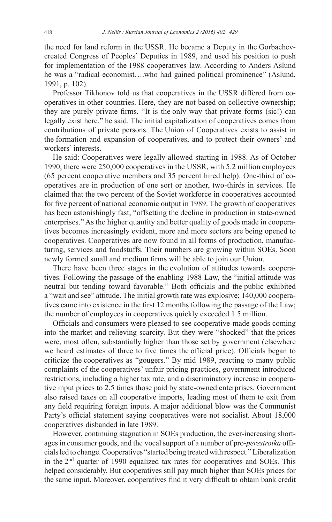the need for land reform in the USSR. He became a Deputy in the Gorbachevcreated Congress of Peoples' Deputies in 1989, and used his position to push for implementation of the 1988 cooperatives law. According to Anders Aslund he was a "radical economist....who had gained political prominence" (Aslund, 1991, p. 102).

Professor Tikhonov told us that cooperatives in the USSR differed from cooperatives in other countries. Here, they are not based on collective ownership; they are purely private firms. "It is the only way that private forms (sic!) can legally exist here," he said. The initial capitalization of cooperatives comes from contributions of private persons. The Union of Cooperatives exists to assist in the formation and expansion of cooperatives, and to protect their owners' and workers' interests.

He said: Cooperatives were legally allowed starting in 1988. As of October 1990, there were 250,000 cooperatives in the USSR, with 5.2 million employees (65 percent cooperative members and 35 percent hired help). One-third of cooperatives are in production of one sort or another, two-thirds in services. He claimed that the two percent of the Soviet workforce in cooperatives accounted for five percent of national economic output in 1989. The growth of cooperatives has been astonishingly fast, "offsetting the decline in production in state-owned enterprises." As the higher quantity and better quality of goods made in cooperatives becomes increasingly evident, more and more sectors are being opened to cooperatives. Cooperatives are now found in all forms of production, manufacturing, services and foodstuffs. Their numbers are growing within SOEs. Soon newly formed small and medium firms will be able to join our Union.

There have been three stages in the evolution of attitudes towards cooperatives. Following the passage of the enabling 1988 Law, the "initial attitude was neutral but tending toward favorable." Both officials and the public exhibited a "wait and see" attitude. The initial growth rate was explosive; 140,000 cooperatives came into existence in the first 12 months following the passage of the Law; the number of employees in cooperatives quickly exceeded 1.5 million.

Officials and consumers were pleased to see cooperative-made goods coming into the market and relieving scarcity. But they were "shocked" that the prices were, most often, substantially higher than those set by government (elsewhere we heard estimates of three to five times the official price). Officials began to criticize the cooperatives as "gougers." By mid 1989, reacting to many public complaints of the cooperatives' unfair pricing practices, government introduced restrictions, including a higher tax rate, and a discriminatory increase in cooperative input prices to 2.5 times those paid by state-owned enterprises. Government also raised taxes on all cooperative imports, leading most of them to exit from any field requiring foreign inputs. A major additional blow was the Communist Party's official statement saying cooperatives were not socialist. About 18,000 cooperatives disbanded in late 1989.

However, continuing stagnation in SOEs production, the ever-increasing shortages in consumer goods, and the vocal support of a number of pro-*perestroika* officials led to change. Cooperatives "started being treated with respect." Liberalization in the 2nd quarter of 1990 equalized tax rates for cooperatives and SOEs. This helped considerably. But cooperatives still pay much higher than SOEs prices for the same input. Moreover, cooperatives find it very difficult to obtain bank credit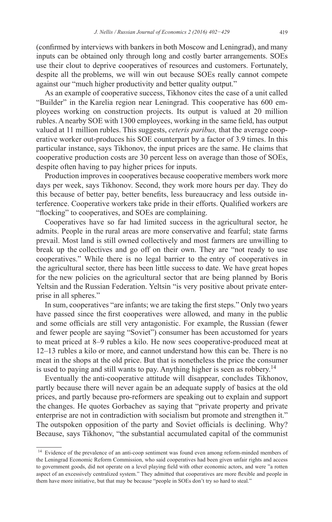(confirmed by interviews with bankers in both Moscow and Leningrad), and many inputs can be obtained only through long and costly barter arrangements. SOEs use their clout to deprive cooperatives of resources and customers. Fortunately, despite all the problems, we will win out because SOEs really cannot compete against our "much higher productivity and better quality output."

As an example of cooperative success, Tikhonov cites the case of a unit called "Builder" in the Karelia region near Leningrad. This cooperative has 600 employees working on construction projects. Its output is valued at 20 million rubles. A nearby SOE with 1300 employees, working in the same field, has output valued at 11 million rubles. This suggests, *ceteris paribus,* that the average cooperative worker out-produces his SOE counterpart by a factor of 3.9 times. In this particular instance, says Tikhonov, the input prices are the same. He claims that cooperative production costs are 30 percent less on average than those of SOEs, despite often having to pay higher prices for inputs.

Production improves in cooperatives because cooperative members work more days per week, says Tikhonov. Second, they work more hours per day. They do this because of better pay, better benefits, less bureaucracy and less outside interference. Cooperative workers take pride in their efforts. Qualified workers are "flocking" to cooperatives, and SOEs are complaining.

Cooperatives have so far had limited success in the agricultural sector, he admits. People in the rural areas are more conservative and fearful; state farms prevail. Most land is still owned collectively and most farmers are unwilling to break up the collectives and go off on their own. They are "not ready to use cooperatives." While there is no legal barrier to the entry of cooperatives in the agricultural sector, there has been little success to date. We have great hopes for the new policies on the agricultural sector that are being planned by Boris Yeltsin and the Russian Federation. Yeltsin "is very positive about private enterprise in all spheres."

In sum, cooperatives "are infants; we are taking the first steps." Only two years have passed since the first cooperatives were allowed, and many in the public and some officials are still very antagonistic. For example, the Russian (fewer and fewer people are saying "Soviet") consumer has been accustomed for years to meat priced at 8–9 rubles a kilo. He now sees cooperative-produced meat at 12–13 rubles a kilo or more, and cannot understand how this can be. There is no meat in the shops at the old price. But that is nonetheless the price the consumer is used to paying and still wants to pay. Anything higher is seen as robbery.<sup>14</sup>

Eventually the anti-cooperative attitude will disappear, concludes Tikhonov, partly because there will never again be an adequate supply of basics at the old prices, and partly because pro-reformers are speaking out to explain and support the changes. He quotes Gorbachev as saying that "private property and private enterprise are not in contradiction with socialism but promote and strengthen it." The outspoken opposition of the party and Soviet officials is declining. Why? Because, says Tikhonov, "the substantial accumulated capital of the communist

<sup>&</sup>lt;sup>14</sup> Evidence of the prevalence of an anti-coop sentiment was found even among reform-minded members of the Leningrad Economic Reform Commission, who said cooperatives had been given unfair rights and access to government goods, did not operate on a level playing field with other economic actors, and were "a rotten aspect of an excessively centralized system." They admitted that cooperatives are more flexible and people in them have more initiative, but that may be because "people in SOEs don't try so hard to steal."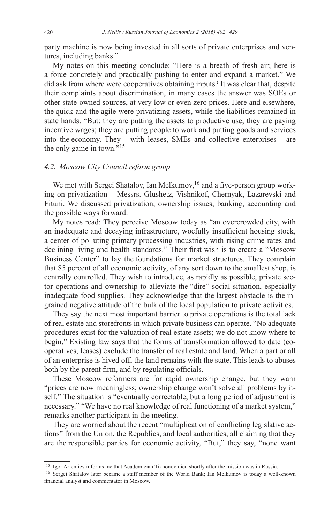party machine is now being invested in all sorts of private enterprises and ventures, including banks."

My notes on this meeting conclude: "Here is a breath of fresh air; here is a force concretely and practically pushing to enter and expand a market." We did ask from where were cooperatives obtaining inputs? It was clear that, despite their complaints about discrimination, in many cases the answer was SOEs or other state-owned sources, at very low or even zero prices. Here and elsewhere, the quick and the agile were privatizing assets, while the liabilities remained in state hands. "But: they are putting the assets to productive use; they are paying incentive wages; they are putting people to work and putting goods and services into the economy. They—with leases, SMEs and collective enterprises—are the only game in town."<sup>15</sup>

## *4.2. Moscow City Council reform group*

We met with Sergei Shatalov, Ian Melkumov,<sup>16</sup> and a five-person group working on privatization—Messrs. Glushetz, Vishnikof, Chernyak, Lazarevski and Fituni. We discussed privatization, ownership issues, banking, accounting and the possible ways forward.

My notes read: They perceive Moscow today as "an overcrowded city, with an inadequate and decaying infrastructure, woefully insufficient housing stock, a center of polluting primary processing industries, with rising crime rates and declining living and health standards." Their first wish is to create a "Moscow Business Center" to lay the foundations for market structures. They complain that 85 percent of all economic activity, of any sort down to the smallest shop, is centrally controlled. They wish to introduce, as rapidly as possible, private sector operations and ownership to alleviate the "dire" social situation, especially inadequate food supplies. They acknowledge that the largest obstacle is the ingrained negative attitude of the bulk of the local population to private activities.

They say the next most important barrier to private operations is the total lack of real estate and storefronts in which private business can operate. "No adequate procedures exist for the valuation of real estate assets; we do not know where to begin." Existing law says that the forms of transformation allowed to date (cooperatives, leases) exclude the transfer of real estate and land. When a part or all of an enterprise is hived off, the land remains with the state. This leads to abuses both by the parent firm, and by regulating officials.

These Moscow reformers are for rapid ownership change, but they warn "prices are now meaningless; ownership change won't solve all problems by itself." The situation is "eventually correctable, but a long period of adjustment is necessary." "We have no real knowledge of real functioning of a market system," remarks another participant in the meeting.

They are worried about the recent "multiplication of conflicting legislative actions" from the Union, the Republics, and local authorities, all claiming that they are the responsible parties for economic activity, "But," they say, "none want

<sup>&</sup>lt;sup>15</sup> Igor Artemiev informs me that Academician Tikhonov died shortly after the mission was in Russia.

<sup>&</sup>lt;sup>16</sup> Sergei Shatalov later became a staff member of the World Bank; Ian Melkumov is today a well-known financial analyst and commentator in Moscow.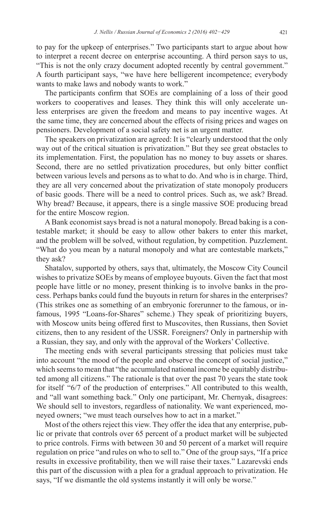to pay for the upkeep of enterprises." Two participants start to argue about how to interpret a recent decree on enterprise accounting. A third person says to us, "This is not the only crazy document adopted recently by central government." A fourth participant says, "we have here belligerent incompetence; everybody wants to make laws and nobody wants to work."

The participants confirm that SOEs are complaining of a loss of their good workers to cooperatives and leases. They think this will only accelerate unless enterprises are given the freedom and means to pay incentive wages. At the same time, they are concerned about the effects of rising prices and wages on pensioners. Development of a social safety net is an urgent matter.

The speakers on privatization are agreed: It is "clearly understood that the only way out of the critical situation is privatization." But they see great obstacles to its implementation. First, the population has no money to buy assets or shares. Second, there are no settled privatization procedures, but only bitter conflict between various levels and persons as to what to do. And who is in charge. Third, they are all very concerned about the privatization of state monopoly producers of basic goods. There will be a need to control prices. Such as, we ask? Bread. Why bread? Because, it appears, there is a single massive SOE producing bread for the entire Moscow region.

A Bank economist says bread is not a natural monopoly. Bread baking is a contestable market; it should be easy to allow other bakers to enter this market, and the problem will be solved, without regulation, by competition. Puzzlement. "What do you mean by a natural monopoly and what are contestable markets," they ask?

Shatalov, supported by others, says that, ultimately, the Moscow City Council wishes to privatize SOEs by means of employee buyouts. Given the fact that most people have little or no money, present thinking is to involve banks in the process. Perhaps banks could fund the buyouts in return for shares in the enterprises? (This strikes one as something of an embryonic forerunner to the famous, or infamous, 1995 "Loans-for-Shares" scheme.) They speak of prioritizing buyers, with Moscow units being offered first to Muscovites, then Russians, then Soviet citizens, then to any resident of the USSR. Foreigners? Only in partnership with a Russian, they say, and only with the approval of the Workers' Collective.

The meeting ends with several participants stressing that policies must take into account "the mood of the people and observe the concept of social justice," which seems to mean that "the accumulated national income be equitably distributed among all citizens." The rationale is that over the past 70 years the state took for itself "6/7 of the production of enterprises." All contributed to this wealth, and "all want something back." Only one participant, Mr. Chernyak, disagrees: We should sell to investors, regardless of nationality. We want experienced, moneyed owners; "we must teach ourselves how to act in a market."

Most of the others reject this view. They offer the idea that any enterprise, public or private that controls over 65 percent of a product market will be subjected to price controls. Firms with between 30 and 50 percent of a market will require regulation on price "and rules on who to sell to." One of the group says, "If a price results in excessive profitability, then we will raise their taxes." Lazarevski ends this part of the discussion with a plea for a gradual approach to privatization. He says, "If we dismantle the old systems instantly it will only be worse."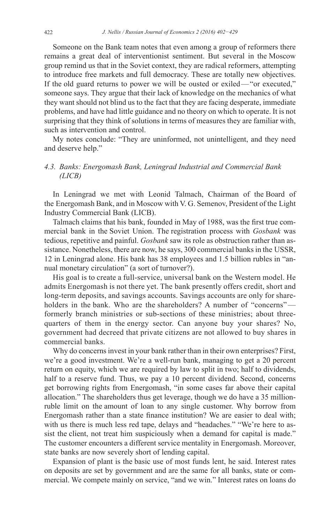Someone on the Bank team notes that even among a group of reformers there remains a great deal of interventionist sentiment. But several in the Moscow group remind us that in the Soviet context, they are radical reformers, attempting to introduce free markets and full democracy. These are totally new objectives. If the old guard returns to power we will be ousted or exiled—"or executed," someone says. They argue that their lack of knowledge on the mechanics of what they want should not blind us to the fact that they are facing desperate, immediate problems, and have had little guidance and no theory on which to operate. It is not surprising that they think of solutions in terms of measures they are familiar with, such as intervention and control.

My notes conclude: "They are uninformed, not unintelligent, and they need and deserve help."

# *4.3. Banks: Energomash Bank, Leningrad Industrial and Commercial Bank (LICB)*

In Leningrad we met with Leonid Talmach, Chairman of the Board of the Energomash Bank, and in Moscow with V. G. Semenov, President of the Light Industry Commercial Bank (LICB).

Talmach claims that his bank, founded in May of 1988, was the first true commercial bank in the Soviet Union. The registration process with *Gosbank* was tedious, repetitive and painful. *Gosbank* saw its role as obstruction rather than assistance. Nonetheless, there are now, he says, 300 commercial banks in the USSR, 12 in Leningrad alone. His bank has 38 employees and 1.5 billion rubles in "annual monetary circulation" (a sort of turnover?).

His goal is to create a full-service, universal bank on the Western model. He admits Energomash is not there yet. The bank presently offers credit, short and long-term deposits, and savings accounts. Savings accounts are only for shareholders in the bank. Who are the shareholders? A number of "concerns" formerly branch ministries or sub-sections of these ministries; about threequarters of them in the energy sector. Can anyone buy your shares? No, government had decreed that private citizens are not allowed to buy shares in commercial banks.

Why do concerns invest in your bank rather than in their own enterprises? First, we're a good investment. We're a well-run bank, managing to get a 20 percent return on equity, which we are required by law to split in two; half to dividends, half to a reserve fund. Thus, we pay a 10 percent dividend. Second, concerns get borrowing rights from Energomash, "in some cases far above their capital allocation." The shareholders thus get leverage, though we do have a 35 millionruble limit on the amount of loan to any single customer. Why borrow from Energomash rather than a state finance institution? We are easier to deal with; with us there is much less red tape, delays and "headaches." "We're here to assist the client, not treat him suspiciously when a demand for capital is made." The customer encounters a different service mentality in Energomash. Moreover, state banks are now severely short of lending capital.

Expansion of plant is the basic use of most funds lent, he said. Interest rates on deposits are set by government and are the same for all banks, state or commercial. We compete mainly on service, "and we win." Interest rates on loans do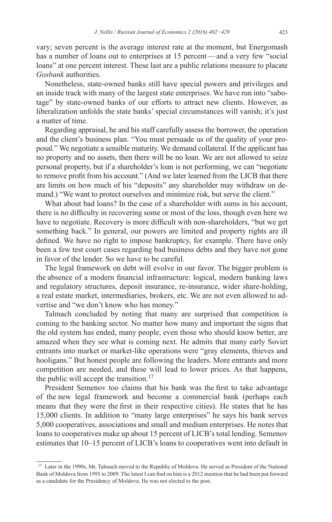vary; seven percent is the average interest rate at the moment, but Energomash has a number of loans out to enterprises at 15 percent—and a very few "social loans" at one percent interest. These last are a public relations measure to placate *Gosbank* authorities.

Nonetheless, state-owned banks still have special powers and privileges and an inside track with many of the largest state enterprises. We have run into "sabotage" by state-owned banks of our efforts to attract new clients. However, as liberalization unfolds the state banks' special circumstances will vanish; it's just a matter of time.

Regarding appraisal, he and his staff carefully assess the borrower, the operation and the client's business plan. "You must persuade us of the quality of your proposal." We negotiate a sensible maturity. We demand collateral. If the applicant has no property and no assets, then there will be no loan. We are not allowed to seize personal property, but if a shareholder's loan is not performing, we can "negotiate to remove profit from his account." (And we later learned from the LICB that there are limits on how much of his "deposits" any shareholder may withdraw on demand.) "We want to protect ourselves and minimize risk, but serve the client."

What about bad loans? In the case of a shareholder with sums in his account, there is no difficulty in recovering some or most of the loss, though even here we have to negotiate. Recovery is more difficult with non-shareholders, "but we get something back." In general, our powers are limited and property rights are ill defined. We have no right to impose bankruptcy, for example. There have only been a few test court cases regarding bad business debts and they have not gone in favor of the lender. So we have to be careful.

The legal framework on debt will evolve in our favor. The bigger problem is the absence of a modern financial infrastructure: logical, modern banking laws and regulatory structures, deposit insurance, re-insurance, wider share-holding, a real estate market, intermediaries, brokers, etc. We are not even allowed to advertise and "we don't know who has money."

Talmach concluded by noting that many are surprised that competition is coming to the banking sector. No matter how many and important the signs that the old system has ended, many people, even those who should know better, are amazed when they see what is coming next. He admits that many early Soviet entrants into market or market-like operations were "gray elements, thieves and hooligans." But honest people are following the leaders. More entrants and more competition are needed, and these will lead to lower prices. As that happens, the public will accept the transition.<sup>17</sup>

President Semenov too claims that his bank was the first to take advantage of the new legal framework and become a commercial bank (perhaps each means that they were the first in their respective cities). He states that he has 15,000 clients. In addition to "many large enterprises" he says his bank serves 5,000 cooperatives, associations and small and medium enterprises. He notes that loans to cooperatives make up about 15 percent of LICB's total lending. Semenov estimates that 10–15 percent of LICB's loans to cooperatives went into default in

<sup>&</sup>lt;sup>17</sup> Later in the 1990s, Mr. Talmach moved to the Republic of Moldova. He served as President of the National Bank of Moldova from 1995 to 2009. The latest I can find on him is a 2012 mention that he had been put forward as a candidate for the Presidency of Moldova. He was not elected to the post.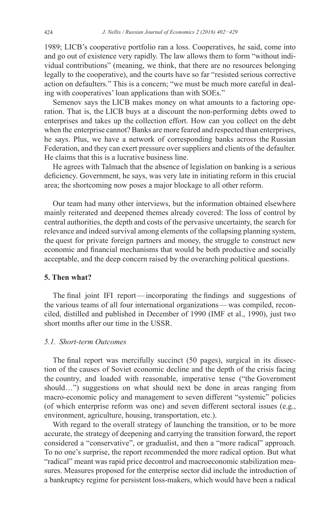1989; LICB's cooperative portfolio ran a loss. Cooperatives, he said, come into and go out of existence very rapidly. The law allows them to form "without individual contributions" (meaning, we think, that there are no resources belonging legally to the cooperative), and the courts have so far "resisted serious corrective action on defaulters." This is a concern; "we must be much more careful in dealing with cooperatives' loan applications than with SOEs."

Semenov says the LICB makes money on what amounts to a factoring operation. That is, the LICB buys at a discount the non-performing debts owed to enterprises and takes up the collection effort. How can you collect on the debt when the enterprise cannot? Banks are more feared and respected than enterprises, he says. Plus, we have a network of corresponding banks across the Russian Federation, and they can exert pressure over suppliers and clients of the defaulter. He claims that this is a lucrative business line.

He agrees with Talmach that the absence of legislation on banking is a serious deficiency. Government, he says, was very late in initiating reform in this crucial area; the shortcoming now poses a major blockage to all other reform.

Our team had many other interviews, but the information obtained elsewhere mainly reiterated and deepened themes already covered: The loss of control by central authorities, the depth and costs of the pervasive uncertainty, the search for relevance and indeed survival among elements of the collapsing planning system, the quest for private foreign partners and money, the struggle to construct new economic and financial mechanisms that would be both productive and socially acceptable, and the deep concern raised by the overarching political questions.

## **5. Then what?**

The final joint IFI report—incorporating the findings and suggestions of the various teams of all four international organizations—was compiled, reconciled, distilled and published in December of 1990 (IMF et al., 1990), just two short months after our time in the USSR.

#### *5.1. Short-term Outcomes*

The final report was mercifully succinct (50 pages), surgical in its dissection of the causes of Soviet economic decline and the depth of the crisis facing the country, and loaded with reasonable, imperative tense ("the Government should…") suggestions on what should next be done in areas ranging from macro-economic policy and management to seven different "systemic" policies (of which enterprise reform was one) and seven different sectoral issues (e.g., environment, agriculture, housing, transportation, etc.).

With regard to the overall strategy of launching the transition, or to be more accurate, the strategy of deepening and carrying the transition forward, the report considered a "conservative", or gradualist, and then a "more radical" approach. To no one's surprise, the report recommended the more radical option. But what "radical" meant was rapid price decontrol and macroeconomic stabilization measures. Measures proposed for the enterprise sector did include the introduction of a bankruptcy regime for persistent loss-makers, which would have been a radical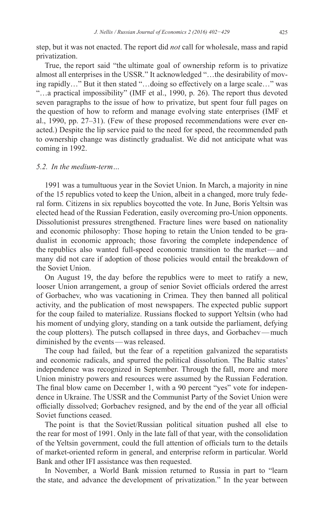step, but it was not enacted. The report did *not* call for wholesale, mass and rapid privatization.

True, the report said "the ultimate goal of ownership reform is to privatize almost all enterprises in the USSR." It acknowledged "…the desirability of moving rapidly…" But it then stated "…doing so effectively on a large scale…" was "…a practical impossibility" (IMF et al., 1990, p. 26). The report thus devoted seven paragraphs to the issue of how to privatize, but spent four full pages on the question of how to reform and manage evolving state enterprises (IMF et al., 1990, pp. 27–31). (Few of these proposed recommendations were ever enacted.) Despite the lip service paid to the need for speed, the recommended path to ownership change was distinctly gradualist. We did not anticipate what was coming in 1992.

#### *5.2. In the medium-term…*

1991 was a tumultuous year in the Soviet Union. In March, a majority in nine of the 15 republics voted to keep the Union, albeit in a changed, more truly federal form. Citizens in six republics boycotted the vote. In June, Boris Yeltsin was elected head of the Russian Federation, easily overcoming pro-Union opponents. Dissolutionist pressures strengthened. Fracture lines were based on nationality and economic philosophy: Those hoping to retain the Union tended to be gradualist in economic approach; those favoring the complete independence of the republics also wanted full-speed economic transition to the market—and many did not care if adoption of those policies would entail the breakdown of the Soviet Union.

On August 19, the day before the republics were to meet to ratify a new, looser Union arrangement, a group of senior Soviet officials ordered the arrest of Gorbachev, who was vacationing in Crimea. They then banned all political activity, and the publication of most newspapers. The expected public support for the coup failed to materialize. Russians flocked to support Yeltsin (who had his moment of undying glory, standing on a tank outside the parliament, defying the coup plotters). The putsch collapsed in three days, and Gorbachev—much diminished by the events—was released.

The coup had failed, but the fear of a repetition galvanized the separatists and economic radicals, and spurred the political dissolution. The Baltic states' independence was recognized in September. Through the fall, more and more Union ministry powers and resources were assumed by the Russian Federation. The final blow came on December 1, with a 90 percent "yes" vote for independence in Ukraine. The USSR and the Communist Party of the Soviet Union were officially dissolved; Gorbachev resigned, and by the end of the year all official Soviet functions ceased.

The point is that the Soviet/Russian political situation pushed all else to the rear for most of 1991. Only in the late fall of that year, with the consolidation of the Yeltsin government, could the full attention of officials turn to the details of market-oriented reform in general, and enterprise reform in particular. World Bank and other IFI assistance was then requested.

In November, a World Bank mission returned to Russia in part to "learn the state, and advance the development of privatization." In the year between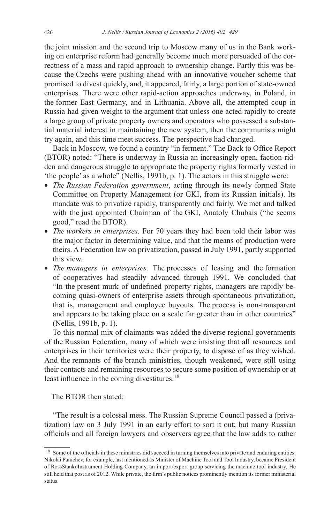the joint mission and the second trip to Moscow many of us in the Bank working on enterprise reform had generally become much more persuaded of the correctness of a mass and rapid approach to ownership change. Partly this was because the Czechs were pushing ahead with an innovative voucher scheme that promised to divest quickly, and, it appeared, fairly, a large portion of state-owned enterprises. There were other rapid-action approaches underway, in Poland, in the former East Germany, and in Lithuania. Above all, the attempted coup in Russia had given weight to the argument that unless one acted rapidly to create a large group of private property owners and operators who possessed a substantial material interest in maintaining the new system, then the communists might try again, and this time meet success. The perspective had changed.

Back in Moscow, we found a country "in ferment." The Back to Office Report (BTOR) noted: "There is underway in Russia an increasingly open, faction-ridden and dangerous struggle to appropriate the property rights formerly vested in 'the people' as a whole" (Nellis, 1991b, p. 1). The actors in this struggle were:

- *The Russian Federation government*, acting through its newly formed State Committee on Property Management (or GKI, from its Russian initials). Its mandate was to privatize rapidly, transparently and fairly. We met and talked with the just appointed Chairman of the GKI, Anatoly Chubais ("he seems good," read the BTOR).
- *The workers in enterprises*. For 70 years they had been told their labor was the major factor in determining value, and that the means of production were theirs. A Federation law on privatization, passed in July 1991, partly supported this view.
- *The managers in enterprises.* The processes of leasing and the formation of cooperatives had steadily advanced through 1991. We concluded that "In the present murk of undefined property rights, managers are rapidly becoming quasi-owners of enterprise assets through spontaneous privatization, that is, management and employee buyouts. The process is non-transparent and appears to be taking place on a scale far greater than in other countries" (Nellis, 1991b, p. 1).

To this normal mix of claimants was added the diverse regional governments of the Russian Federation, many of which were insisting that all resources and enterprises in their territories were their property, to dispose of as they wished. And the remnants of the branch ministries, though weakened, were still using their contacts and remaining resources to secure some position of ownership or at least influence in the coming divestitures.<sup>18</sup>

The BTOR then stated:

"The result is a colossal mess. The Russian Supreme Council passed a (privatization) law on 3 July 1991 in an early effort to sort it out; but many Russian officials and all foreign lawyers and observers agree that the law adds to rather

<sup>&</sup>lt;sup>18</sup> Some of the officials in these ministries did succeed in turning themselves into private and enduring entities. Nikolai Panichev, for example, last mentioned as Minister of Machine Tool and Tool Industry, became President of RossStankoInstrument Holding Company, an import/export group servicing the machine tool industry. He still held that post as of 2012. While private, the firm's public notices prominently mention its former ministerial status.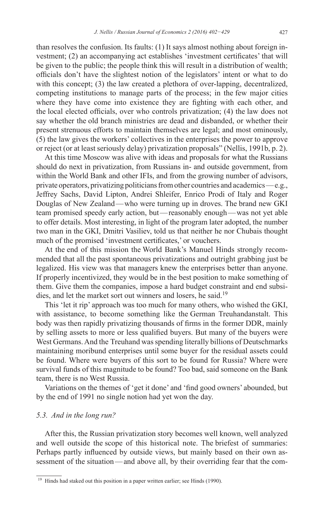than resolves the confusion. Its faults: (1) It says almost nothing about foreign investment; (2) an accompanying act establishes 'investment certificates' that will be given to the public; the people think this will result in a distribution of wealth; officials don't have the slightest notion of the legislators' intent or what to do with this concept; (3) the law created a plethora of over-lapping, decentralized, competing institutions to manage parts of the process; in the few major cities where they have come into existence they are fighting with each other, and the local elected officials, over who controls privatization; (4) the law does not say whether the old branch ministries are dead and disbanded, or whether their present strenuous efforts to maintain themselves are legal; and most ominously, (5) the law gives the workers' collectives in the enterprises the power to approve or reject (or at least seriously delay) privatization proposals" (Nellis, 1991b, p. 2).

At this time Moscow was alive with ideas and proposals for what the Russians should do next in privatization, from Russians in- and outside government, from within the World Bank and other IFIs, and from the growing number of advisors, private operators, privatizing politicians from other countries and academics—e.g., Jeffrey Sachs, David Lipton, Andrei Shleifer, Enrico Prodi of Italy and Roger Douglas of New Zealand—who were turning up in droves. The brand new GKI team promised speedy early action, but—reasonably enough—was not yet able to offer details. Most interesting, in light of the program later adopted, the number two man in the GKI, Dmitri Vasiliev, told us that neither he nor Chubais thought much of the promised 'investment certificates,' or vouchers.

At the end of this mission the World Bank's Manuel Hinds strongly recommended that all the past spontaneous privatizations and outright grabbing just be legalized. His view was that managers knew the enterprises better than anyone. If properly incentivized, they would be in the best position to make something of them. Give them the companies, impose a hard budget constraint and end subsidies, and let the market sort out winners and losers, he said.<sup>19</sup>

This 'let it rip' approach was too much for many others, who wished the GKI, with assistance, to become something like the German Treuhandanstalt. This body was then rapidly privatizing thousands of firms in the former DDR, mainly by selling assets to more or less qualified buyers. But many of the buyers were West Germans. And the Treuhand was spending literally billions of Deutschmarks maintaining moribund enterprises until some buyer for the residual assets could be found. Where were buyers of this sort to be found for Russia? Where were survival funds of this magnitude to be found? Too bad, said someone on the Bank team, there is no West Russia.

Variations on the themes of 'get it done' and 'find good owners' abounded, but by the end of 1991 no single notion had yet won the day.

#### *5.3. And in the long run?*

After this, the Russian privatization story becomes well known, well analyzed and well outside the scope of this historical note. The briefest of summaries: Perhaps partly influenced by outside views, but mainly based on their own assessment of the situation—and above all, by their overriding fear that the com-

<sup>&</sup>lt;sup>19</sup> Hinds had staked out this position in a paper written earlier; see Hinds (1990).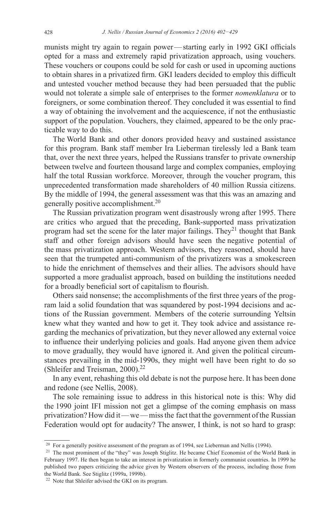munists might try again to regain power—starting early in 1992 GKI officials opted for a mass and extremely rapid privatization approach, using vouchers. These vouchers or coupons could be sold for cash or used in upcoming auctions to obtain shares in a privatized firm. GKI leaders decided to employ this difficult and untested voucher method because they had been persuaded that the public would not tolerate a simple sale of enterprises to the former *nomenklatura* or to foreigners, or some combination thereof. They concluded it was essential to find a way of obtaining the involvement and the acquiescence, if not the enthusiastic support of the population. Vouchers, they claimed, appeared to be the only practicable way to do this.

The World Bank and other donors provided heavy and sustained assistance for this program. Bank staff member Ira Lieberman tirelessly led a Bank team that, over the next three years, helped the Russians transfer to private ownership between twelve and fourteen thousand large and complex companies, employing half the total Russian workforce. Moreover, through the voucher program, this unprecedented transformation made shareholders of 40 million Russia citizens. By the middle of 1994, the general assessment was that this was an amazing and generally positive accomplishment.20

The Russian privatization program went disastrously wrong after 1995. There are critics who argued that the preceding, Bank-supported mass privatization program had set the scene for the later major failings. They<sup>21</sup> thought that Bank staff and other foreign advisors should have seen the negative potential of the mass privatization approach. Western advisors, they reasoned, should have seen that the trumpeted anti-communism of the privatizers was a smokescreen to hide the enrichment of themselves and their allies. The advisors should have supported a more gradualist approach, based on building the institutions needed for a broadly beneficial sort of capitalism to flourish.

Others said nonsense; the accomplishments of the first three years of the program laid a solid foundation that was squandered by post-1994 decisions and actions of the Russian government. Members of the coterie surrounding Yeltsin knew what they wanted and how to get it. They took advice and assistance regarding the mechanics of privatization, but they never allowed any external voice to influence their underlying policies and goals. Had anyone given them advice to move gradually, they would have ignored it. And given the political circumstances prevailing in the mid-1990s, they might well have been right to do so (Shleifer and Treisman, 2000).<sup>22</sup>

In any event, rehashing this old debate is not the purpose here. It has been done and redone (see Nellis, 2008).

The sole remaining issue to address in this historical note is this: Why did the 1990 joint IFI mission not get a glimpse of the coming emphasis on mass privatization? How did it—we—miss the fact that the government of the Russian Federation would opt for audacity? The answer, I think, is not so hard to grasp:

<sup>&</sup>lt;sup>20</sup> For a generally positive assessment of the program as of 1994, see Lieberman and Nellis (1994).

<sup>&</sup>lt;sup>21</sup> The most prominent of the "they" was Joseph Stiglitz. He became Chief Economist of the World Bank in February 1997. He then began to take an interest in privatization in formerly communist countries. In 1999 he published two papers criticizing the advice given by Western observers of the process, including those from the World Bank. See Stiglitz (1999a, 1999b).

<sup>22</sup> Note that Shleifer advised the GKI on its program.